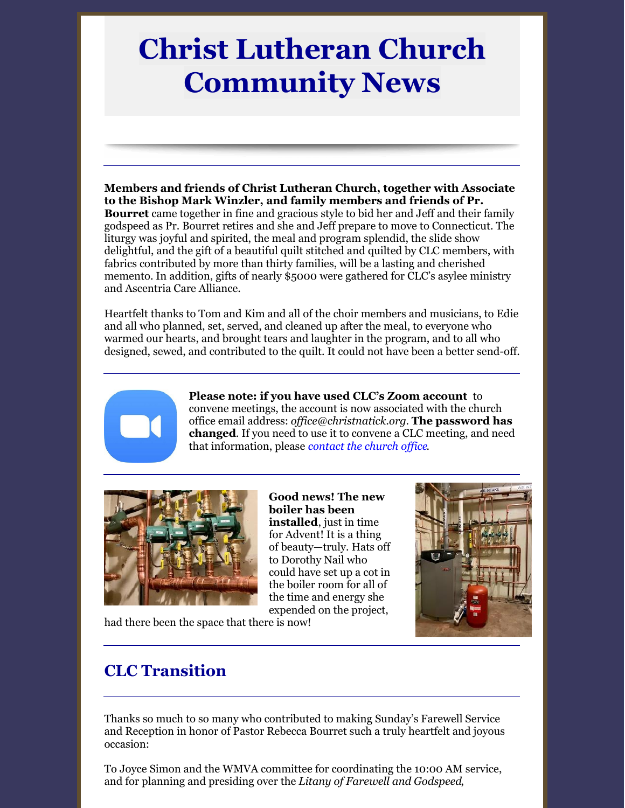# **Christ Lutheran Church Community News**

**Members and friends of Christ Lutheran Church, together with Associate to the Bishop Mark Winzler, and family members and friends of Pr. Bourret** came together in fine and gracious style to bid her and Jeff and their family godspeed as Pr. Bourret retires and she and Jeff prepare to move to Connecticut. The liturgy was joyful and spirited, the meal and program splendid, the slide show delightful, and the gift of a beautiful quilt stitched and quilted by CLC members, with fabrics contributed by more than thirty families, will be a lasting and cherished memento. In addition, gifts of nearly \$5000 were gathered for CLC's asylee ministry and Ascentria Care Alliance.

Heartfelt thanks to Tom and Kim and all of the choir members and musicians, to Edie and all who planned, set, served, and cleaned up after the meal, to everyone who warmed our hearts, and brought tears and laughter in the program, and to all who designed, sewed, and contributed to the quilt. It could not have been a better send-off.



**Please note: if you have used CLC's Zoom account** to convene meetings, the account is now associated with the church office email address: *of [ice@christnatick.org](mailto:office@christnatick.org)*. **The password has changed**. If you need to use it to convene a CLC meeting, and need that information, please *[contact](mailto:christnatick@gmail.com) the church of ice*.



**Good news! The new boiler has been installed**, just in time for Advent! It is a thing of beauty—truly. Hats off to Dorothy Nail who could have set up a cot in the boiler room for all of the time and energy she expended on the project,



had there been the space that there is now!

# **CLC Transition**

Thanks so much to so many who contributed to making Sunday's Farewell Service and Reception in honor of Pastor Rebecca Bourret such a truly heartfelt and joyous occasion:

To Joyce Simon and the WMVA committee for coordinating the 10:00 AM service, and for planning and presiding over the *Litany of Farewell and Godspeed*,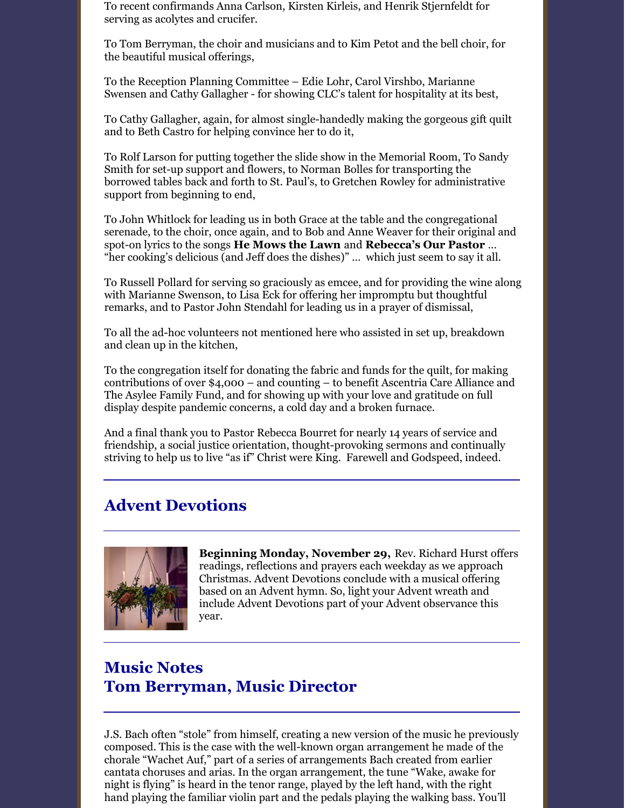To recent confirmands Anna Carlson, Kirsten Kirleis, and Henrik Stjernfeldt for serving as acolytes and crucifer.

To Tom Berryman, the choir and musicians and to Kim Petot and the bell choir, for the beautiful musical offerings,

To the Reception Planning Committee – Edie Lohr, Carol Virshbo, Marianne Swensen and Cathy Gallagher - for showing CLC's talent for hospitality at its best,

To Cathy Gallagher, again, for almost single-handedly making the gorgeous gift quilt and to Beth Castro for helping convince her to do it,

To Rolf Larson for putting together the slide show in the Memorial Room, To Sandy Smith for set-up support and flowers, to Norman Bolles for transporting the borrowed tables back and forth to St. Paul's, to Gretchen Rowley for administrative support from beginning to end,

To John Whitlock for leading us in both Grace at the table and the congregational serenade, to the choir, once again, and to Bob and Anne Weaver for their original and spot-on lyrics to the songs **He Mows the Lawn** and **Rebecca's Our Pastor** … "her cooking's delicious (and Jeff does the dishes)" … which just seem to say it all.

To Russell Pollard for serving so graciously as emcee, and for providing the wine along with Marianne Swenson, to Lisa Eck for offering her impromptu but thoughtful remarks, and to Pastor John Stendahl for leading us in a prayer of dismissal,

To all the ad-hoc volunteers not mentioned here who assisted in set up, breakdown and clean up in the kitchen,

To the congregation itself for donating the fabric and funds for the quilt, for making contributions of over \$4,000 – and counting – to benefit Ascentria Care Alliance and The Asylee Family Fund, and for showing up with your love and gratitude on full display despite pandemic concerns, a cold day and a broken furnace.

And a final thank you to Pastor Rebecca Bourret for nearly 14 years of service and friendship, a social justice orientation, thought-provoking sermons and continually striving to help us to live "as if" Christ were King. Farewell and Godspeed, indeed.

### **Advent Devotions**



**Beginning Monday, November 29,** Rev. Richard Hurst offers readings, reflections and prayers each weekday as we approach Christmas. Advent Devotions conclude with a musical offering based on an Advent hymn. So, light your Advent wreath and include Advent Devotions part of your Advent observance this year.

# **Music Notes Tom Berryman, Music Director**

J.S. Bach often "stole" from himself, creating a new version of the music he previously composed. This is the case with the well-known organ arrangement he made of the chorale "Wachet Auf," part of a series of arrangements Bach created from earlier cantata choruses and arias. In the organ arrangement, the tune "Wake, awake for night is flying" is heard in the tenor range, played by the left hand, with the right hand playing the familiar violin part and the pedals playing the walking bass. You'll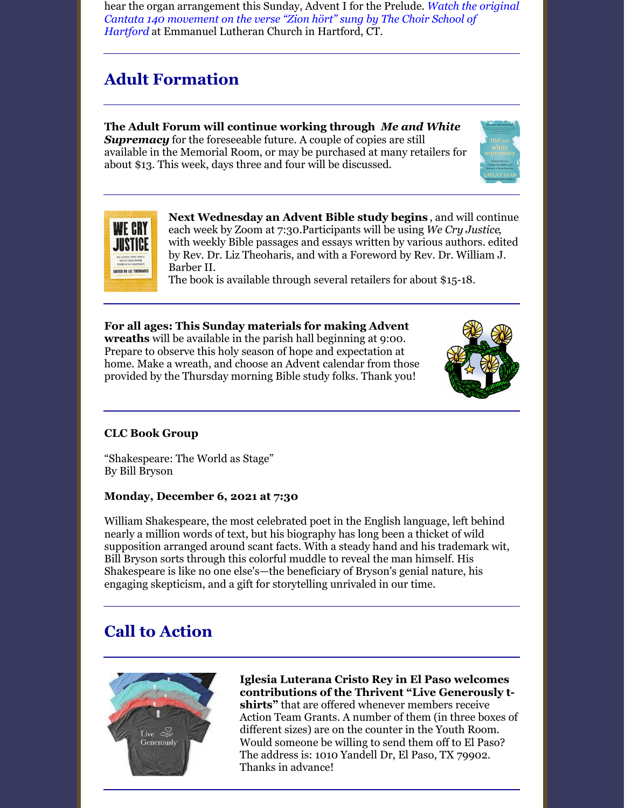hear the organ [arrangement](https://video.search.yahoo.com/yhs/search?fr=yhs-trp-001&ei=UTF-8&hsimp=yhs-001&hspart=trp&p=%22Zion+H%C3%B6rt%22+YouTube&type=Y21_F163_204855_110220#id=4&vid=e9d611d6d9b34175c425149aecd93317&action=click) this Sunday, Advent I for the Prelude. *Watch the original Cantata 140 movement on the verse "Zion hört" sung by The Choir School of Hartford* at Emmanuel Lutheran Church in Hartford, CT.

# **Adult Formation**

**The Adult Forum will continue working through** *Me and White* **Supremacy** for the foreseeable future. A couple of copies are still available in the Memorial Room, or may be purchased at many retailers for about \$13. This week, days three and four will be discussed.





**Next Wednesday an Advent Bible study begins** , and will continue each week by Zoom at 7:30.Participants will be using *We Cry Justice*, with weekly Bible passages and essays written by various authors. edited by Rev. Dr. Liz Theoharis, and with a Foreword by Rev. Dr. William J. Barber II.

The book is available through several retailers for about \$15-18.

**For all ages: This Sunday materials for making Advent wreaths** will be available in the parish hall beginning at 9:00. Prepare to observe this holy season of hope and expectation at home. Make a wreath, and choose an Advent calendar from those provided by the Thursday morning Bible study folks. Thank you!



#### **CLC Book Group**

"Shakespeare: The World as Stage" By Bill Bryson

#### **Monday, December 6, 2021 at 7:30**

William Shakespeare, the most celebrated poet in the English language, left behind nearly a million words of text, but his biography has long been a thicket of wild supposition arranged around scant facts. With a steady hand and his trademark wit, Bill Bryson sorts through this colorful muddle to reveal the man himself. His Shakespeare is like no one else's—the beneficiary of Bryson's genial nature, his engaging skepticism, and a gift for storytelling unrivaled in our time.

# **Call to Action**



**Iglesia Luterana Cristo Rey in El Paso welcomes contributions of the Thrivent "Live Generously tshirts"** that are offered whenever members receive Action Team Grants. A number of them (in three boxes of different sizes) are on the counter in the Youth Room. Would someone be willing to send them off to El Paso? The address is: 1010 Yandell Dr, El Paso, TX 79902. Thanks in advance!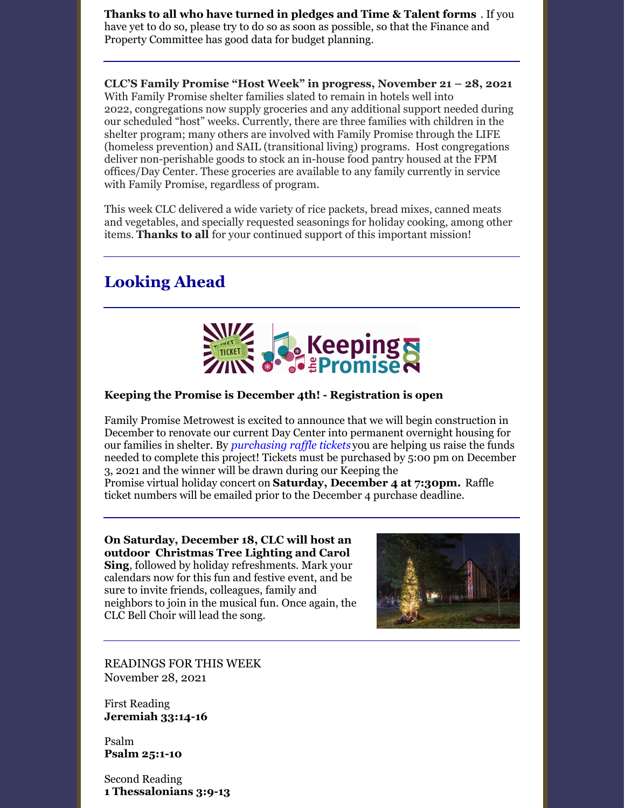**Thanks to all who have turned in pledges and Time & Talent forms** . If you have yet to do so, please try to do so as soon as possible, so that the Finance and Property Committee has good data for budget planning.

**CLC'S Family Promise "Host Week" in progress, November 21 – 28, 2021** With Family Promise shelter families slated to remain in hotels well into 2022, congregations now supply groceries and any additional support needed during our scheduled "host" weeks. Currently, there are three families with children in the shelter program; many others are involved with Family Promise through the LIFE (homeless prevention) and SAIL (transitional living) programs. Host congregations deliver non-perishable goods to stock an in-house food pantry housed at the FPM offices/Day Center. These groceries are available to any family currently in service with Family Promise, regardless of program.

This week CLC delivered a wide variety of rice packets, bread mixes, canned meats and vegetables, and specially requested seasonings for holiday cooking, among other items. **Thanks to all** for your continued support of this important mission!

# **Looking Ahead**



#### **Keeping the Promise is December 4th! - Registration is open**

Family Promise Metrowest is excited to announce that we will begin construction in December to renovate our current Day Center into permanent overnight housing for our families in shelter. By *[purchasing](https://familypromisemetrowest.salsalabs.org/keepingthepromiseraffle2021/index.html) raffle tickets* you are helping us raise the funds needed to complete this project! Tickets must be purchased by 5:00 pm on December 3, 2021 and the winner will be drawn during our Keeping the

Promise virtual holiday concert on **Saturday, [December](https://familypromisemetrowest.salsalabs.org/keepingthepromise2021/index.html) 4 at 7:30pm.** Raffle ticket numbers will be emailed prior to the December 4 purchase deadline.

**On Saturday, December 18, CLC will host an outdoor Christmas Tree Lighting and Carol Sing**, followed by holiday refreshments. Mark your calendars now for this fun and festive event, and be sure to invite friends, colleagues, family and neighbors to join in the musical fun. Once again, the CLC Bell Choir will lead the song.



READINGS FOR THIS WEEK November 28, 2021

First Reading **Jeremiah 33:14-16**

Psalm **[Psalm](https://members.sundaysandseasons.com/Home/Index/2021-11-21/0#) 25:1-10**

Second Reading **1 Thessalonians 3:9-13**